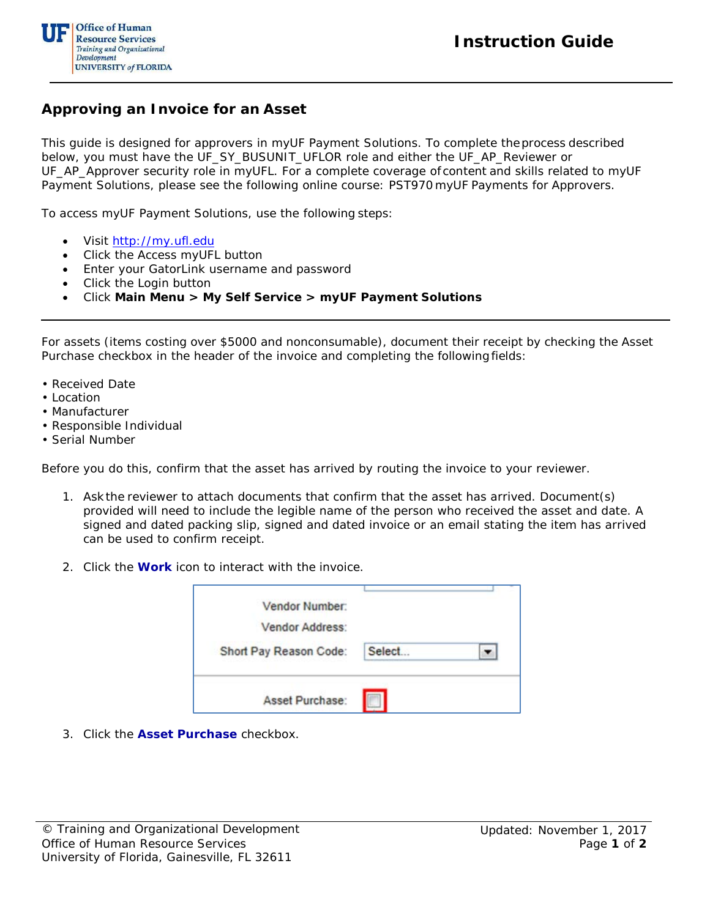

## **Approving an Invoice for an Asset**

This guide is designed for approvers in myUF Payment Solutions. To complete theprocess described below, you must have the UF\_SY\_BUSUNIT\_UFLOR role *and* either the UF\_AP\_Reviewer *or* UF\_AP\_Approver security role in myUFL. For a complete coverage of content and skills related to myUF Payment Solutions, please see the following online course: PST970 myUF Payments for Approvers.

To access myUF Payment Solutions, use the following steps:

- Visit [http://my.ufl.edu](http://my.ufl.edu/)
- Click the Access myUFL button
- Enter your GatorLink username and password
- Click the Login button
- Click **Main Menu > My Self Service > myUF Payment Solutions**

For assets (items costing over \$5000 and nonconsumable), document their receipt by checking the Asset Purchase checkbox in the header of the invoice and completing the followingfields:

- Received Date
- Location
- Manufacturer
- Responsible Individual
- Serial Number

Before you do this, confirm that the asset has arrived by routing the invoice to your reviewer.

- 1. Askthe reviewer to attach documents that confirm that the asset has arrived. Document(s) provided will need to include the legible name of the person who received the asset and date. A signed and dated packing slip, signed and dated invoice or an email stating the item has arrived can be used to confirm receipt.
- 2. Click the **Work** icon to interact with the invoice.

| Vendor Number:<br><b>Vendor Address:</b><br>Short Pay Reason Code: | Select |  |
|--------------------------------------------------------------------|--------|--|
| Asset Purchase:                                                    |        |  |

3. Click the **Asset Purchase** checkbox.